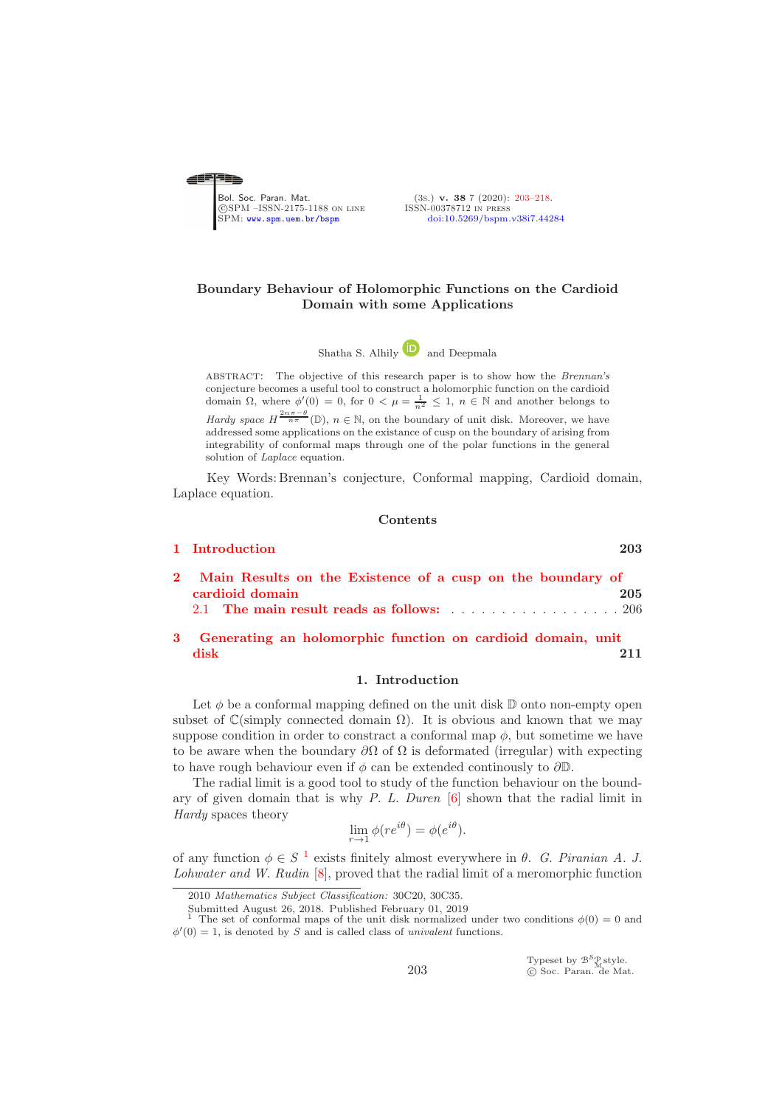<span id="page-0-0"></span>

(3s.) v. 38 7 (2020): [203](#page-0-0)-218.<br>ISSN-00378712 IN PRESS [doi:10.5269/bspm.v38i7.44284](http://dx.doi.org/10.5269/bspm.v38i7.44284)

# Boundary Behaviour of Holomorphic Functions on the Cardioid Domain with some Applications

Shatha S. Alhil[y](https://orcid.org/0000-0002-8209-8421) and Deepmala

ABSTRACT: The objective of this research paper is to show how the Brennan's conjecture becomes a useful tool to construct a holomorphic function on the cardioid domain  $\Omega$ , where  $\phi'(0) = 0$ , for  $0 < \mu = \frac{1}{n^2} \leq 1$ ,  $n \in \mathbb{N}$  and another belongs to Hardy space  $H^{\frac{2n\pi-\theta}{n\pi}}(\mathbb{D})$ ,  $n \in \mathbb{N}$ , on the boundary of unit disk. Moreover, we have addressed some applications on the existance of cusp on the boundary of arising from integrability of conformal maps through one of the polar functions in the general solution of *Laplace* equation.

Key Words: Brennan's conjecture, Conformal mapping, Cardioid domain, Laplace equation.

### Contents

| 1 Introduction                                                                                                                                                           | 203 |
|--------------------------------------------------------------------------------------------------------------------------------------------------------------------------|-----|
| 2 Main Results on the Existence of a cusp on the boundary of<br>cardioid domain<br>2.1 The main result reads as follows: $\ldots \ldots \ldots \ldots \ldots \ldots 206$ | 205 |
| 3 Generating an holomorphic function on cardioid domain, unit<br>disk                                                                                                    |     |

#### 1. Introduction

<span id="page-0-1"></span>Let  $\phi$  be a conformal mapping defined on the unit disk  $\mathbb D$  onto non-empty open subset of  $\mathbb{C}(\text{simply connected domain }\Omega)$ . It is obvious and known that we may suppose condition in order to constract a conformal map  $\phi$ , but sometime we have to be aware when the boundary  $\partial\Omega$  of  $\Omega$  is deformated (irregular) with expecting to have rough behaviour even if  $\phi$  can be extended continously to  $\partial \mathbb{D}$ .

The radial limit is a good tool to study of the function behaviour on the boundary of given domain that is why *P. L. Duren* [\[6\]](#page-14-1) shown that the radial limit in *Hardy* spaces theory

$$
\lim_{r \to 1} \phi(re^{i\theta}) = \phi(e^{i\theta}).
$$

of any function  $\phi \in S^{-1}$  $\phi \in S^{-1}$  $\phi \in S^{-1}$  exists finitely almost everywhere in  $\theta$ . *G. Piranian A. J. Lohwater and W. Rudin* [\[8\]](#page-14-2), proved that the radial limit of a meromorphic function

Submitted August 26, 2018. Published February 01, 2019

Typeset by  $\mathcal{B}^{\mathcal{S}}_{\mathcal{M}}^{\mathcal{S}}$ style. c Soc. Paran. de Mat.

<sup>2010</sup> Mathematics Subject Classification: 30C20, 30C35.

<span id="page-0-2"></span>The set of conformal maps of the unit disk normalized under two conditions  $\phi(0) = 0$  and  $\phi'(0) = 1$ , is denoted by S and is called class of univalent functions.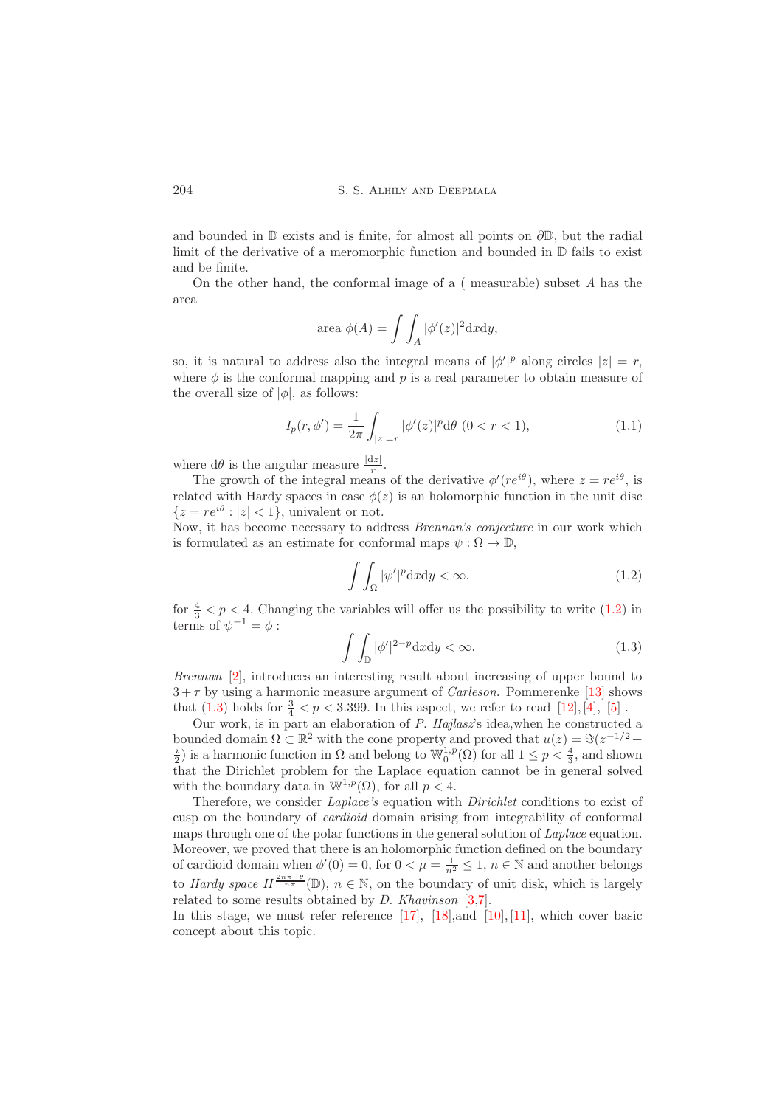and bounded in  $\mathbb D$  exists and is finite, for almost all points on  $\partial \mathbb D$ , but the radial limit of the derivative of a meromorphic function and bounded in D fails to exist and be finite.

On the other hand, the conformal image of a ( measurable) subset *A* has the area

area 
$$
\phi(A) = \int \int_A |\phi'(z)|^2 dxdy,
$$

so, it is natural to address also the integral means of  $|\phi'|^p$  along circles  $|z| = r$ , where  $\phi$  is the conformal mapping and p is a real parameter to obtain measure of the overall size of  $|\phi|$ , as follows:

$$
I_p(r,\phi') = \frac{1}{2\pi} \int_{|z|=r} |\phi'(z)|^p d\theta \ (0 < r < 1),\tag{1.1}
$$

where  $d\theta$  is the angular measure  $\frac{|dz|}{r}$ .

The growth of the integral means of the derivative  $\phi'(re^{i\theta})$ , where  $z = re^{i\theta}$ , is related with Hardy spaces in case  $\phi(z)$  is an holomorphic function in the unit disc  ${z = re^{i\theta} : |z| < 1}$ , univalent or not.

Now, it has become necessary to address *Brennan's conjecture* in our work which is formulated as an estimate for conformal maps  $\psi : \Omega \to \mathbb{D}$ .

<span id="page-1-0"></span>
$$
\int \int_{\Omega} |\psi'|^p \, \mathrm{d}x \, \mathrm{d}y < \infty. \tag{1.2}
$$

for  $\frac{4}{3} < p < 4$ . Changing the variables will offer us the possibility to write [\(1.2\)](#page-1-0) in terms of  $\psi^{-1} = \phi$ :

<span id="page-1-1"></span>
$$
\int \int_{\mathbb{D}} |\phi'|^{2-p} \mathrm{d}x \mathrm{d}y < \infty. \tag{1.3}
$$

*Brennan* [\[2\]](#page-14-3), introduces an interesting result about increasing of upper bound to  $3 + \tau$  by using a harmonic measure argument of *Carleson*. Pommerenke [\[13\]](#page-14-4) shows that [\(1.3\)](#page-1-1) holds for  $\frac{3}{4} < p < 3.399$ . In this aspect, we refer to read [\[12\]](#page-14-5), [\[4\]](#page-14-6), [\[5\]](#page-14-7).

Our work, is in part an elaboration of *P. Hajlasz*'s idea,when he constructed a bounded domain  $\Omega \subset \mathbb{R}^2$  with the cone property and proved that  $u(z) = \Im(z^{-1/2} + z)$  $\frac{i}{2}$ ) is a harmonic function in  $\Omega$  and belong to  $\mathbb{W}_0^{1,p}(\Omega)$  for all  $1 \le p < \frac{4}{3}$ , and shown that the Dirichlet problem for the Laplace equation cannot be in general solved with the boundary data in  $\mathbb{W}^{1,p}(\Omega)$ , for all  $p < 4$ .

Therefore, we consider *Laplace's* equation with *Dirichlet* conditions to exist of cusp on the boundary of *cardioid* domain arising from integrability of conformal maps through one of the polar functions in the general solution of *Laplace* equation. Moreover, we proved that there is an holomorphic function defined on the boundary of cardioid domain when  $\phi'(0) = 0$ , for  $0 < \mu = \frac{1}{n^2} \leq 1$ ,  $n \in \mathbb{N}$  and another belongs to *Hardy space*  $H^{\frac{2n\pi-\theta}{n\pi}}(\mathbb{D})$ ,  $n \in \mathbb{N}$ , on the boundary of unit disk, which is largely related to some results obtained by *D. Khavinson* [\[3,](#page-14-8)[7\]](#page-14-9).

In this stage, we must refer reference  $[17]$ ,  $[18]$ , and  $[10]$ ,  $[11]$ , which cover basic concept about this topic.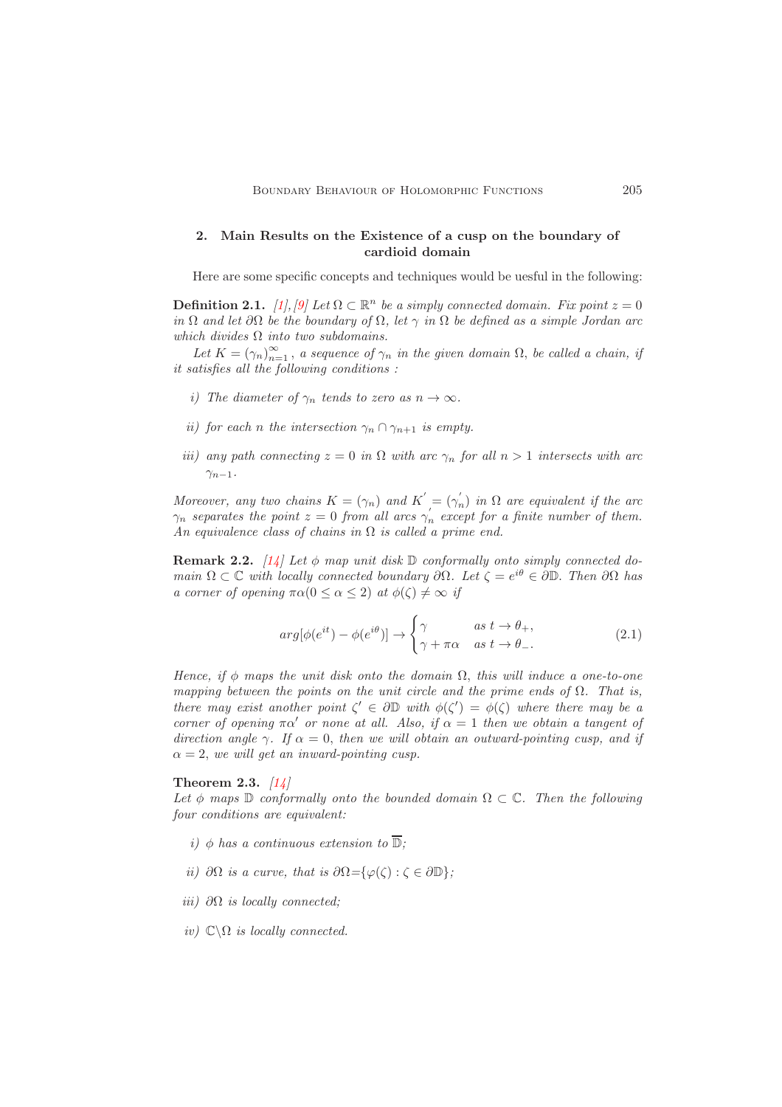## <span id="page-2-0"></span>2. Main Results on the Existence of a cusp on the boundary of cardioid domain

Here are some specific concepts and techniques would be uesful in the following:

**Definition 2.1.** *[\[1\]](#page-14-14), [9] Let*  $\Omega \subset \mathbb{R}^n$  *be a simply connected domain. Fix point*  $z = 0$ *in*  $\Omega$  *and let*  $\partial\Omega$  *be the boundary of*  $\Omega$ *, let*  $\gamma$  *in*  $\Omega$  *be defined as a simple Jordan arc which divides* Ω *into two subdomains.*

Let  $K = (\gamma_n)_{n=1}^{\infty}$ , *a sequence of*  $\gamma_n$  *in the given domain*  $\Omega$ , *be called a chain, if it satisfies all the following conditions :*

- *i)* The diameter of  $\gamma_n$  tends to zero as  $n \to \infty$ .
- *ii)* for each *n* the intersection  $\gamma_n \cap \gamma_{n+1}$  *is empty.*
- *iii)* any path connecting  $z = 0$  *in*  $\Omega$  *with arc*  $\gamma_n$  *for all*  $n > 1$  *intersects with arc*  $\gamma_{n-1}$ *.*

*Moreover, any two chains*  $K = (\gamma_n)$  *and*  $K' = (\gamma'_n)$  *in*  $\Omega$  *are equivalent if the arc*  $\gamma_n$  separates the point  $z = 0$  from all arcs  $\gamma'_n$  except for a finite number of them. *An equivalence class of chains in* Ω *is called a prime end.*

Remark 2.2. *[\[14\]](#page-14-16) Let* φ *map unit disk* D *conformally onto simply connected domain*  $\Omega \subset \mathbb{C}$  *with locally connected boundary*  $\partial \Omega$ *. Let*  $\zeta = e^{i\theta} \in \partial \mathbb{D}$ *. Then*  $\partial \Omega$  *has a corner of opening*  $\pi \alpha (0 \leq \alpha \leq 2)$  *at*  $\phi(\zeta) \neq \infty$  *if* 

$$
arg[\phi(e^{it}) - \phi(e^{i\theta})] \rightarrow \begin{cases} \gamma & \text{as } t \rightarrow \theta_+, \\ \gamma + \pi\alpha & \text{as } t \rightarrow \theta_-. \end{cases}
$$
 (2.1)

*Hence, if*  $\phi$  *maps the unit disk onto the domain*  $\Omega$ *, this will induce a one-to-one mapping between the points on the unit circle and the prime ends of* Ω*. That is, there may exist another point*  $\zeta' \in \partial \mathbb{D}$  *with*  $\phi(\zeta') = \phi(\zeta)$  *where there may be a corner of opening*  $\pi \alpha'$  *or none at all. Also, if*  $\alpha = 1$  *then we obtain a tangent of direction angle*  $\gamma$ *. If*  $\alpha = 0$ *, then we will obtain an outward-pointing cusp, and if*  $\alpha = 2$ , we will get an inward-pointing cusp.

Theorem 2.3. *[\[14\]](#page-14-16)*

Let  $\phi$  *maps*  $\mathbb D$  *conformally onto the bounded domain*  $\Omega \subset \mathbb C$ *. Then the following four conditions are equivalent:*

- *i*)  $\phi$  *has a continuous extension to*  $\overline{\mathbb{D}}$ *;*
- *ii*)  $\partial\Omega$  *is a curve, that is*  $\partial\Omega = \{\varphi(\zeta) : \zeta \in \partial \mathbb{D}\}$ *;*
- *iii)* ∂Ω *is locally connected;*
- *iv*)  $\mathbb{C}\backslash\Omega$  *is locally connected.*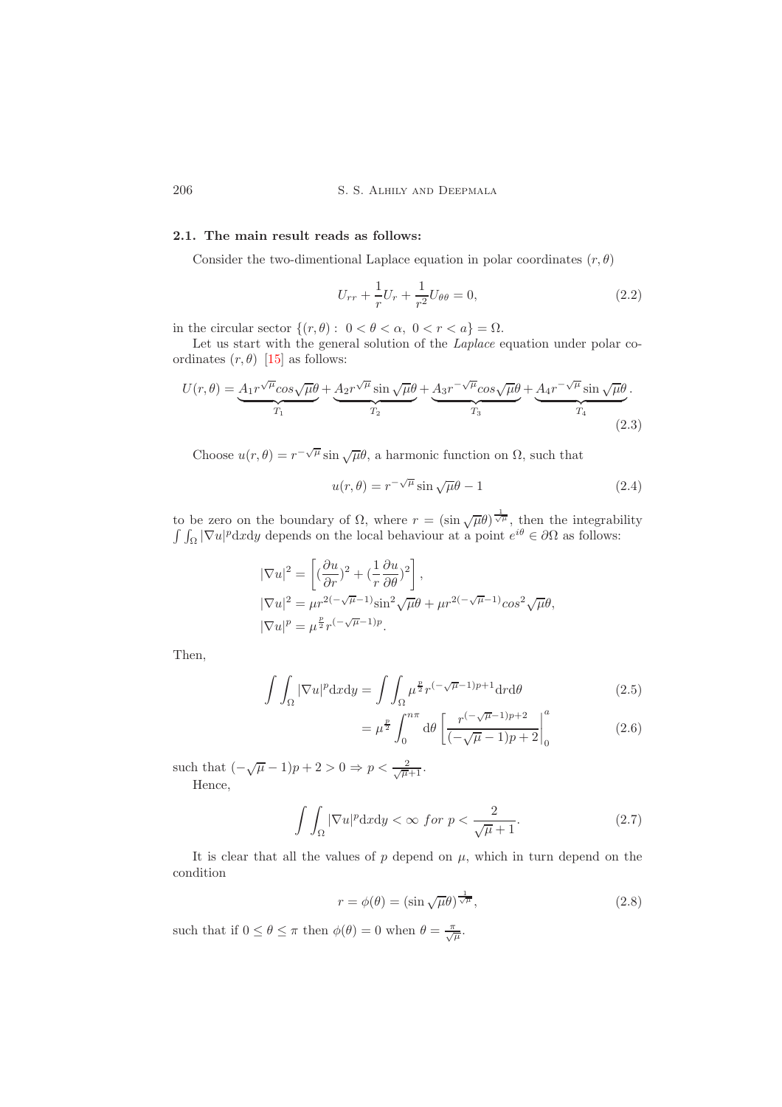206 S. S. Alhily and Deepmala

## <span id="page-3-0"></span>2.1. The main result reads as follows:

Consider the two-dimentional Laplace equation in polar coordinates  $(r, \theta)$ 

$$
U_{rr} + \frac{1}{r}U_r + \frac{1}{r^2}U_{\theta\theta} = 0,
$$
\n(2.2)

in the circular sector  $\{(r, \theta): 0 < \theta < \alpha, 0 < r < a\} = \Omega$ .

Let us start with the general solution of the *Laplace* equation under polar coordinates  $(r, \theta)$  [\[15\]](#page-14-17) as follows:

$$
U(r,\theta) = \underbrace{A_1 r^{\sqrt{\mu}} \cos \sqrt{\mu} \theta}_{T_1} + \underbrace{A_2 r^{\sqrt{\mu}} \sin \sqrt{\mu} \theta}_{T_2} + \underbrace{A_3 r^{-\sqrt{\mu}} \cos \sqrt{\mu} \theta}_{T_3} + \underbrace{A_4 r^{-\sqrt{\mu}} \sin \sqrt{\mu} \theta}_{T_4}.
$$
\n(2.3)

Choose  $u(r, \theta) = r^{-\sqrt{\mu}} \sin \sqrt{\mu} \theta$ , a harmonic function on  $\Omega$ , such that

$$
u(r,\theta) = r^{-\sqrt{\mu}} \sin \sqrt{\mu} \theta - 1
$$
\n(2.4)

to be zero on the boundary of  $\Omega$ , where  $r = (\sin \sqrt{\mu \theta})^{\frac{1}{\sqrt{\mu}}}$ , then the integrability  $\int \int_{\Omega} |\nabla u|^p dxdy$  depends on the local behaviour at a point  $e^{i\theta} \in \partial \Omega$  as follows:

$$
\begin{aligned} |\nabla u|^2 &= \left[ (\frac{\partial u}{\partial r})^2 + (\frac{1}{r} \frac{\partial u}{\partial \theta})^2 \right], \\ |\nabla u|^2 &= \mu r^{2(-\sqrt{\mu}-1)} \sin^2 \sqrt{\mu} \theta + \mu r^{2(-\sqrt{\mu}-1)} \cos^2 \sqrt{\mu} \theta, \\ |\nabla u|^p &= \mu^{\frac{p}{2}} r^{(-\sqrt{\mu}-1)p}. \end{aligned}
$$

Then,

$$
\int \int_{\Omega} |\nabla u|^p \mathrm{d}x \mathrm{d}y = \int \int_{\Omega} \mu^{\frac{p}{2}} r^{(-\sqrt{\mu}-1)p+1} \mathrm{d}r \mathrm{d}\theta \tag{2.5}
$$

$$
= \mu^{\frac{p}{2}} \int_0^{n\pi} d\theta \left[ \frac{r^{(-\sqrt{\mu}-1)p+2}}{(-\sqrt{\mu}-1)p+2} \right]_0^a \tag{2.6}
$$

such that  $\left(-\sqrt{\mu}-1\right)p+2>0 \Rightarrow p < \frac{2}{\sqrt{\mu}+1}$ . Hence,

$$
\int\int_{\Omega} |\nabla u|^p \, \mathrm{d}x \mathrm{d}y < \infty \text{ for } p < \frac{2}{\sqrt{\mu} + 1}.\tag{2.7}
$$

It is clear that all the values of  $p$  depend on  $\mu$ , which in turn depend on the condition

<span id="page-3-1"></span>
$$
r = \phi(\theta) = (\sin \sqrt{\mu}\theta)^{\frac{1}{\sqrt{\mu}}},\tag{2.8}
$$

such that if  $0 \leq \theta \leq \pi$  then  $\phi(\theta) = 0$  when  $\theta = \frac{\pi}{\sqrt{\mu}}$ .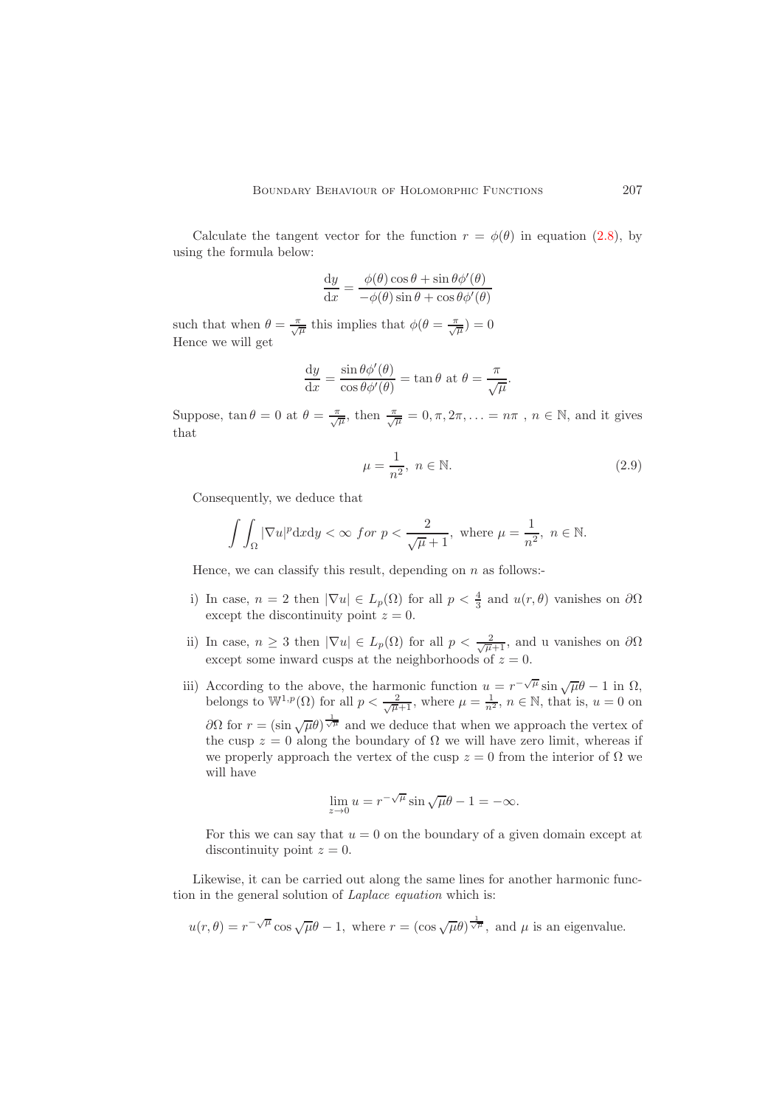Calculate the tangent vector for the function  $r = \phi(\theta)$  in equation [\(2.8\)](#page-3-1), by using the formula below:

$$
\frac{dy}{dx} = \frac{\phi(\theta)\cos\theta + \sin\theta\phi'(\theta)}{-\phi(\theta)\sin\theta + \cos\theta\phi'(\theta)}
$$

such that when  $\theta = \frac{\pi}{\sqrt{\mu}}$  this implies that  $\phi(\theta = \frac{\pi}{\sqrt{\mu}}) = 0$ Hence we will get

$$
\frac{dy}{dx} = \frac{\sin \theta \phi'(\theta)}{\cos \theta \phi'(\theta)} = \tan \theta \text{ at } \theta = \frac{\pi}{\sqrt{\mu}}.
$$

Suppose,  $\tan \theta = 0$  at  $\theta = \frac{\pi}{\sqrt{\mu}}$ , then  $\frac{\pi}{\sqrt{\mu}} = 0, \pi, 2\pi, \ldots = n\pi$ ,  $n \in \mathbb{N}$ , and it gives that

<span id="page-4-0"></span>
$$
\mu = \frac{1}{n^2}, \ n \in \mathbb{N}.\tag{2.9}
$$

Consequently, we deduce that

$$
\int\int_{\Omega}|\nabla u|^p\mathrm{d}x\mathrm{d}y<\infty\ for\ p<\frac{2}{\sqrt{\mu}+1},\ \text{where}\ \mu=\frac{1}{n^2},\ n\in\mathbb{N}.
$$

Hence, we can classify this result, depending on  $n$  as follows:-

- i) In case,  $n = 2$  then  $|\nabla u| \in L_p(\Omega)$  for all  $p < \frac{4}{3}$  and  $u(r, \theta)$  vanishes on  $\partial \Omega$ except the discontinuity point  $z = 0$ .
- ii) In case,  $n \geq 3$  then  $|\nabla u| \in L_p(\Omega)$  for all  $p < \frac{2}{\sqrt{\mu+1}}$ , and u vanishes on  $\partial \Omega$ except some inward cusps at the neighborhoods of  $z = 0$ .
- iii) According to the above, the harmonic function  $u = r^{-\sqrt{\mu}} \sin{\sqrt{\mu}}\theta 1$  in  $\Omega$ , belongs to  $\mathbb{W}^{1,p}(\Omega)$  for all  $p < \frac{2}{\sqrt{\mu+1}}$ , where  $\mu = \frac{1}{n^2}$ ,  $n \in \mathbb{N}$ , that is,  $u = 0$  on  $∂Ω$  for  $r = (\sin \sqrt{μ}θ)^{\frac{1}{\sqrt{μ}}}$  and we deduce that when we approach the vertex of the cusp  $z = 0$  along the boundary of  $\Omega$  we will have zero limit, whereas if we properly approach the vertex of the cusp  $z = 0$  from the interior of  $\Omega$  we will have

$$
\lim_{z \to 0} u = r^{-\sqrt{\mu}} \sin \sqrt{\mu} \theta - 1 = -\infty.
$$

For this we can say that  $u = 0$  on the boundary of a given domain except at discontinuity point  $z = 0$ .

Likewise, it can be carried out along the same lines for another harmonic function in the general solution of *Laplace equation* which is:

$$
u(r,\theta) = r^{-\sqrt{\mu}} \cos \sqrt{\mu \theta} - 1
$$
, where  $r = (\cos \sqrt{\mu \theta})^{\frac{1}{\sqrt{\mu}}}$ , and  $\mu$  is an eigenvalue.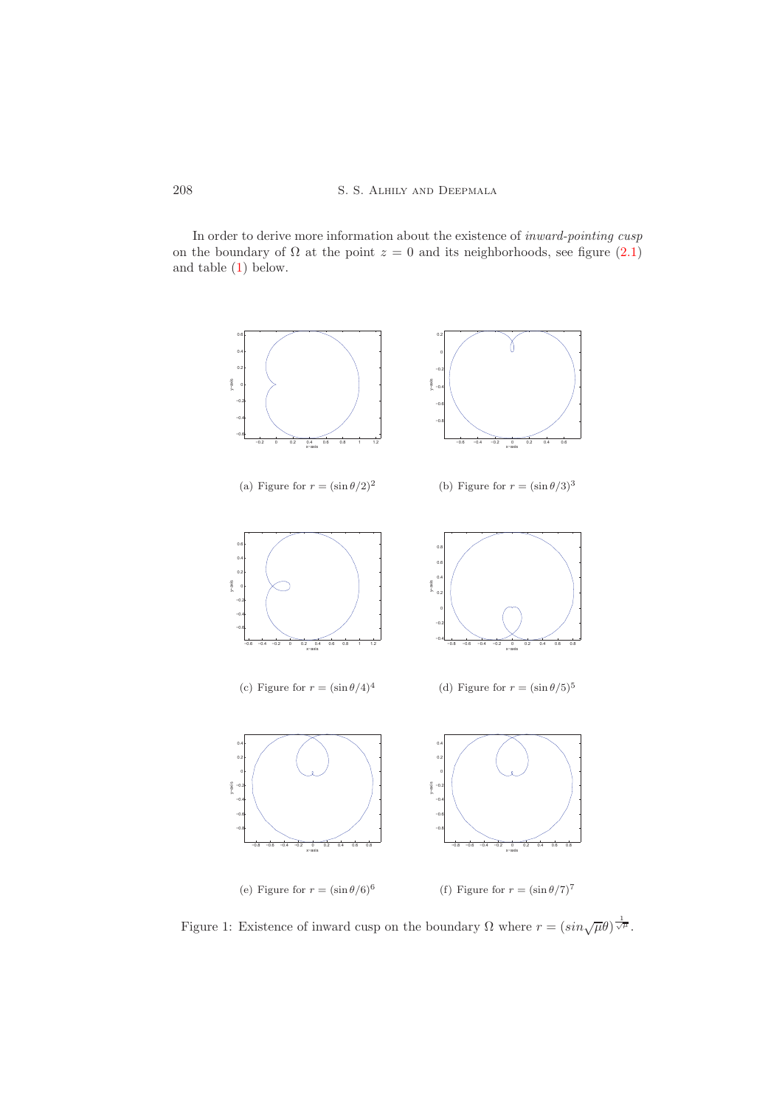In order to derive more information about the existence of *inward-pointing cusp* on the boundary of  $\Omega$  at the point  $z = 0$  and its neighborhoods, see figure [\(2.1\)](#page-4-0) and table [\(1\)](#page-6-0) below.



Figure 1: Existence of inward cusp on the boundary  $\Omega$  where  $r = (\sin{\sqrt{\mu\theta}})^{\frac{1}{\sqrt{\mu}}}$ .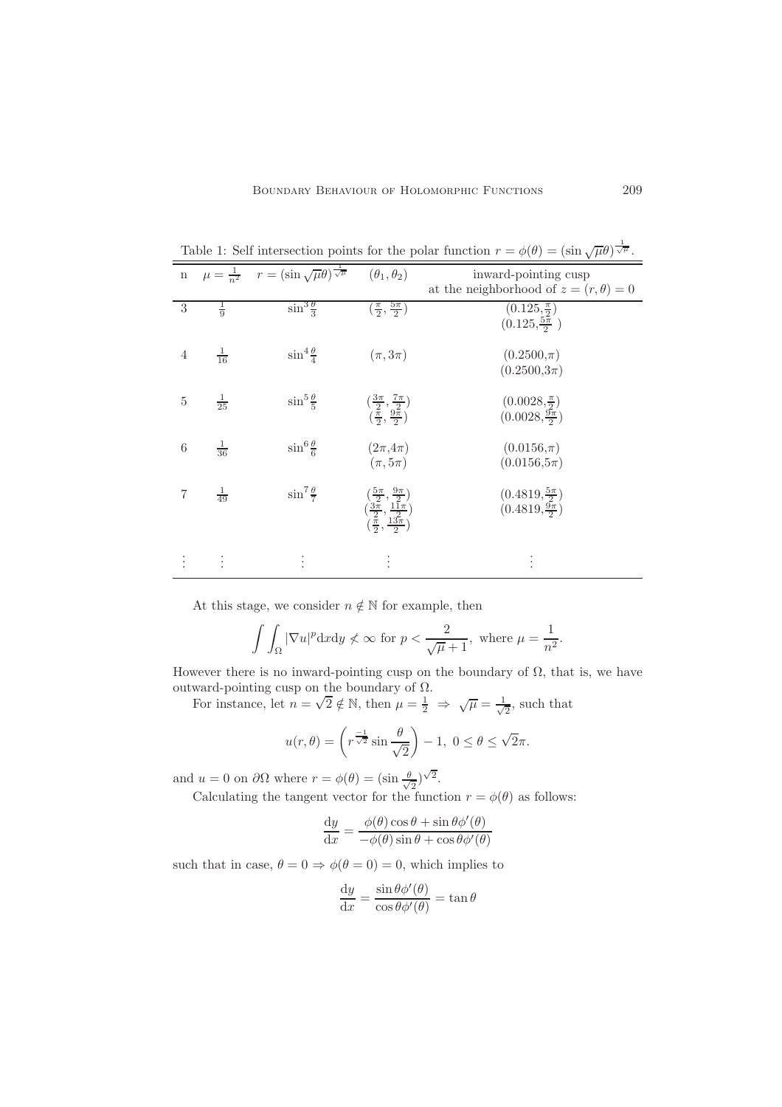| $\mathbf n$     |                | $\mu = \frac{1}{n^2}$ $r = (\sin \sqrt{\mu \theta})^{\frac{1}{\sqrt{\mu}}}$ | $(\theta_1, \theta_2)$                                                                                                                                                 | inward-pointing cusp<br>at the neighborhood of $z = (r, \theta) = 0$ |
|-----------------|----------------|-----------------------------------------------------------------------------|------------------------------------------------------------------------------------------------------------------------------------------------------------------------|----------------------------------------------------------------------|
| 3               | $\frac{1}{9}$  | $\sin^3\frac{\theta}{3}$                                                    | $\left(\frac{\pi}{2},\frac{5\pi}{2}\right)$                                                                                                                            | $(0.125, \frac{\pi}{2})$<br>$(0.125, \frac{5\pi}{2})$                |
| $\overline{4}$  | $\frac{1}{16}$ | $\sin^4\frac{\theta}{4}$                                                    | $(\pi,3\pi)$                                                                                                                                                           | $(0.2500,\pi)$<br>$(0.2500,3\pi)$                                    |
| 5               | $\frac{1}{25}$ | $\sin^5\frac{\theta}{5}$                                                    | $\left(\frac{\frac{3\pi}{2}}{\frac{\pi}{2}}, \frac{\frac{7\pi}{2}}{\frac{9\pi}{2}}\right)$                                                                             | $(0.0028, \frac{\pi}{2})$<br>$(0.0028, \frac{9\pi}{2})$              |
| $6\phantom{1}6$ | $\frac{1}{36}$ | $\sin^6\frac{\theta}{6}$                                                    | $(2\pi, 4\pi)$<br>$(\pi, 5\pi)$                                                                                                                                        | $(0.0156,\pi)$<br>$(0.0156, 5\pi)$                                   |
|                 | $\frac{1}{49}$ | $\sin^7\frac{\theta}{7}$                                                    | $\begin{array}{c} \left(\frac{5\pi}{2},\frac{9\pi}{2}\right) \\ \left(\frac{3\pi}{2},\frac{11\pi}{2}\right) \\ \left(\frac{\pi}{2},\frac{13\pi}{2}\right) \end{array}$ | $(0.4819, \frac{5\pi}{2})$<br>$(0.4819, \frac{9\pi}{2})$             |
|                 | $\vdots$       | $\ddot{\cdot}$                                                              |                                                                                                                                                                        |                                                                      |

<span id="page-6-0"></span>Table 1: Self intersection points for the polar function  $r = \phi(\theta) = (\sin \sqrt{\mu \theta})^{\frac{1}{\sqrt{\mu}}}$ .

At this stage, we consider  $n \notin \mathbb{N}$  for example, then

$$
\int\int_{\Omega}|\nabla u|^p\mathrm{d}x\mathrm{d}y\not<\infty\text{ for }p<\frac{2}{\sqrt{\mu}+1},\text{ where }\mu=\frac{1}{n^2}.
$$

However there is no inward-pointing cusp on the boundary of  $\Omega$ , that is, we have outward-pointing cusp on the boundary of  $\Omega$ .

For instance, let  $n = \sqrt{2} \notin \mathbb{N}$ , then  $\mu = \frac{1}{2} \implies \sqrt{\mu} = \frac{1}{\sqrt{\lambda}}$  $\frac{1}{2}$ , such that

$$
u(r,\theta) = \left(r^{\frac{-1}{\sqrt{2}}}\sin\frac{\theta}{\sqrt{2}}\right) - 1, \ 0 \le \theta \le \sqrt{2}\pi.
$$

and  $u = 0$  on  $\partial\Omega$  where  $r = \phi(\theta) = (\sin \frac{\theta}{\sqrt{\theta}})$  $\frac{1}{2})^{\sqrt{2}}$ .

Calculating the tangent vector for the function  $r = \phi(\theta)$  as follows:

$$
\frac{dy}{dx} = \frac{\phi(\theta)\cos\theta + \sin\theta\phi'(\theta)}{-\phi(\theta)\sin\theta + \cos\theta\phi'(\theta)}
$$

such that in case,  $\theta = 0 \Rightarrow \phi(\theta = 0) = 0$ , which implies to

$$
\frac{\mathrm{d}y}{\mathrm{d}x} = \frac{\sin \theta \phi'(\theta)}{\cos \theta \phi'(\theta)} = \tan \theta
$$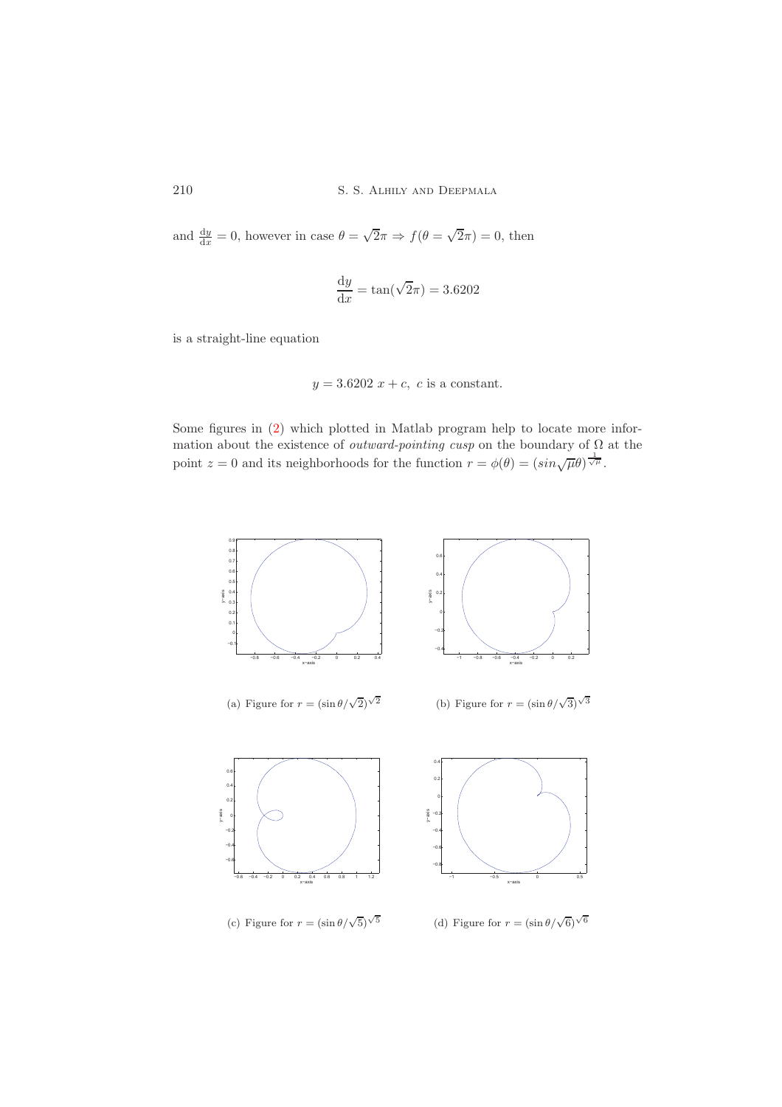and  $\frac{dy}{dx} = 0$ , however in case  $\theta = \sqrt{2}\pi \Rightarrow f(\theta = \sqrt{2}\pi) = 0$ , then

$$
\frac{\mathrm{d}y}{\mathrm{d}x} = \tan(\sqrt{2}\pi) = 3.6202
$$

is a straight-line equation

$$
y = 3.6202 x + c, c
$$
 is a constant.

Some figures in [\(2\)](#page-8-1) which plotted in Matlab program help to locate more information about the existence of *outward-pointing cusp* on the boundary of Ω at the point  $z = 0$  and its neighborhoods for the function  $r = \phi(\theta) = (\sin \sqrt{\mu \theta})^{\frac{1}{\sqrt{\mu}}}$ .

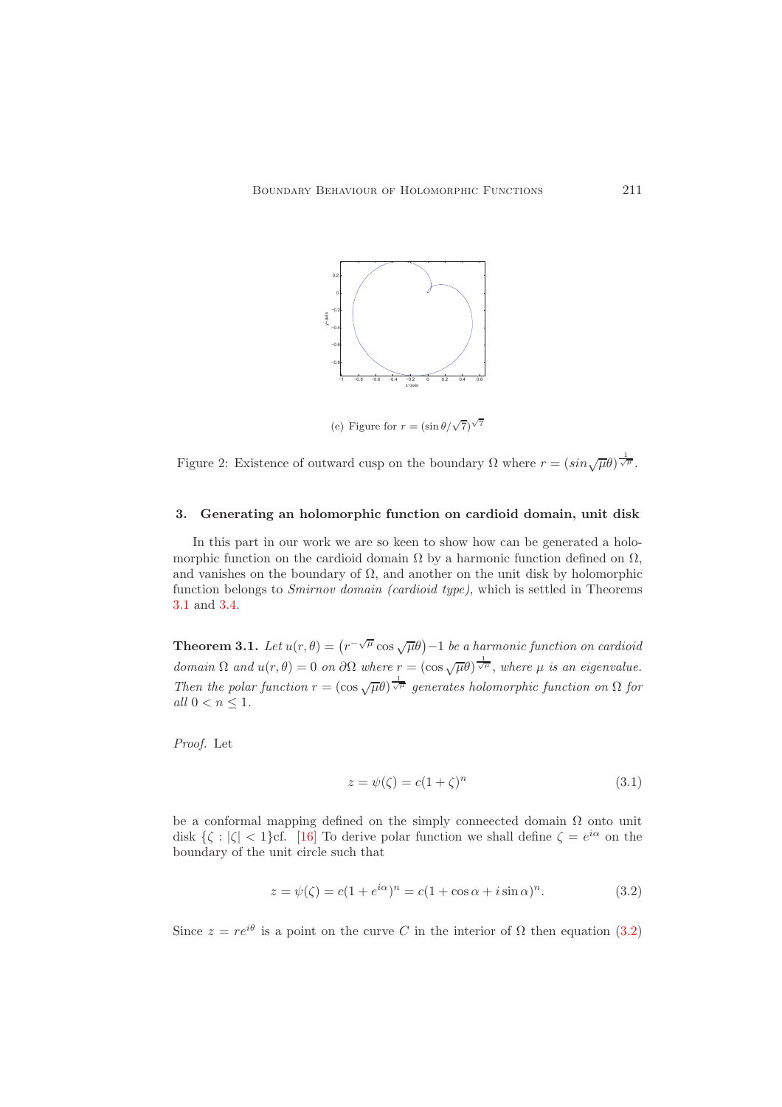

(e) Figure for  $r = (\sin \theta / \sqrt{7})^{\sqrt{7}}$ 

<span id="page-8-1"></span>Figure 2: Existence of outward cusp on the boundary  $\Omega$  where  $r = (\sin{\sqrt{\mu\theta}})^{\frac{1}{\sqrt{\mu}}}$ .

## <span id="page-8-0"></span>3. Generating an holomorphic function on cardioid domain, unit disk

In this part in our work we are so keen to show how can be generated a holomorphic function on the cardioid domain  $\Omega$  by a harmonic function defined on  $\Omega$ , and vanishes on the boundary of  $\Omega$ , and another on the unit disk by holomorphic function belongs to *Smirnov domain (cardioid type)*, which is settled in Theorems [3.1](#page-8-2) and [3.4.](#page-11-0)

<span id="page-8-2"></span>**Theorem 3.1.** Let  $u(r, \theta) = (r^{-\sqrt{\mu}} \cos{\sqrt{\mu\theta}}) - 1$  be a harmonic function on cardioid  $domain \Omega \text{ and } u(r, \theta) = 0 \text{ on } \partial\Omega \text{ where } r = (\cos \sqrt{\mu \theta})^{\frac{1}{\sqrt{\mu}}}$ , where  $\mu$  *is an eigenvalue. Then the polar function*  $r = (\cos \sqrt{\mu}\theta)^{\frac{1}{\sqrt{\mu}}}$  generates holomorphic function on  $\Omega$  for *all*  $0 < n \leq 1$ *.* 

*Proof.* Let

<span id="page-8-4"></span><span id="page-8-3"></span>
$$
z = \psi(\zeta) = c(1+\zeta)^n \tag{3.1}
$$

be a conformal mapping defined on the simply conneected domain  $\Omega$  onto unit disk  $\{\zeta : |\zeta| < 1\}$ cf. [\[16\]](#page-14-18) To derive polar function we shall define  $\zeta = e^{i\alpha}$  on the boundary of the unit circle such that

$$
z = \psi(\zeta) = c(1 + e^{i\alpha})^n = c(1 + \cos \alpha + i \sin \alpha)^n.
$$
 (3.2)

Since  $z = re^{i\theta}$  is a point on the curve C in the interior of  $\Omega$  then equation [\(3.2\)](#page-8-3)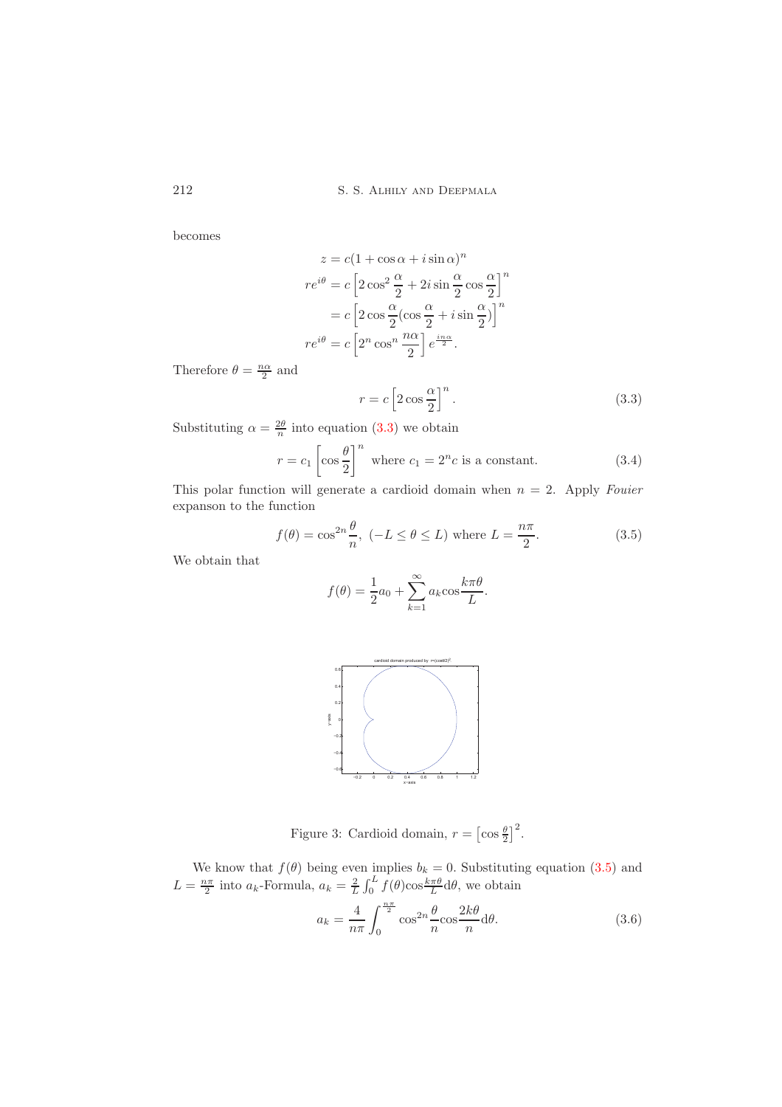becomes

$$
z = c(1 + \cos \alpha + i \sin \alpha)^n
$$
  
\n
$$
re^{i\theta} = c \left[2 \cos^2 \frac{\alpha}{2} + 2i \sin \frac{\alpha}{2} \cos \frac{\alpha}{2}\right]^n
$$
  
\n
$$
= c \left[2 \cos \frac{\alpha}{2} (\cos \frac{\alpha}{2} + i \sin \frac{\alpha}{2})\right]^n
$$
  
\n
$$
re^{i\theta} = c \left[2^n \cos^n \frac{n\alpha}{2}\right] e^{\frac{i n \alpha}{2}}.
$$

Therefore  $\theta = \frac{n\alpha}{2}$  and

$$
r = c \left[ 2 \cos \frac{\alpha}{2} \right]^n.
$$
 (3.3)

Substituting  $\alpha = \frac{2\theta}{n}$  into equation [\(3.3\)](#page-9-0) we obtain

$$
r = c_1 \left[ \cos \frac{\theta}{2} \right]^n \text{ where } c_1 = 2^n c \text{ is a constant.} \tag{3.4}
$$

This polar function will generate a cardioid domain when n = 2. Apply *Fouier* expanson to the function

$$
f(\theta) = \cos^{2n} \frac{\theta}{n}, \quad (-L \le \theta \le L) \text{ where } L = \frac{n\pi}{2}.
$$
 (3.5)

<span id="page-9-3"></span><span id="page-9-1"></span><span id="page-9-0"></span>.

We obtain that

$$
f(\theta) = \frac{1}{2}a_0 + \sum_{k=1}^{\infty} a_k \cos \frac{k\pi\theta}{L}
$$



Figure 3: Cardioid domain,  $r = \left[\cos{\frac{\theta}{2}}\right]^2$ .

We know that  $f(\theta)$  being even implies  $b_k = 0$ . Substituting equation [\(3.5\)](#page-9-1) and  $L = \frac{n\pi}{2}$  into  $a_k$ -Formula,  $a_k = \frac{2}{L} \int_0^L f(\theta) \cos \frac{k\pi \theta}{L} d\theta$ , we obtain

<span id="page-9-2"></span>
$$
a_k = \frac{4}{n\pi} \int_0^{\frac{n\pi}{2}} \cos^{2n} \frac{\theta}{n} \cos \frac{2k\theta}{n} d\theta.
$$
 (3.6)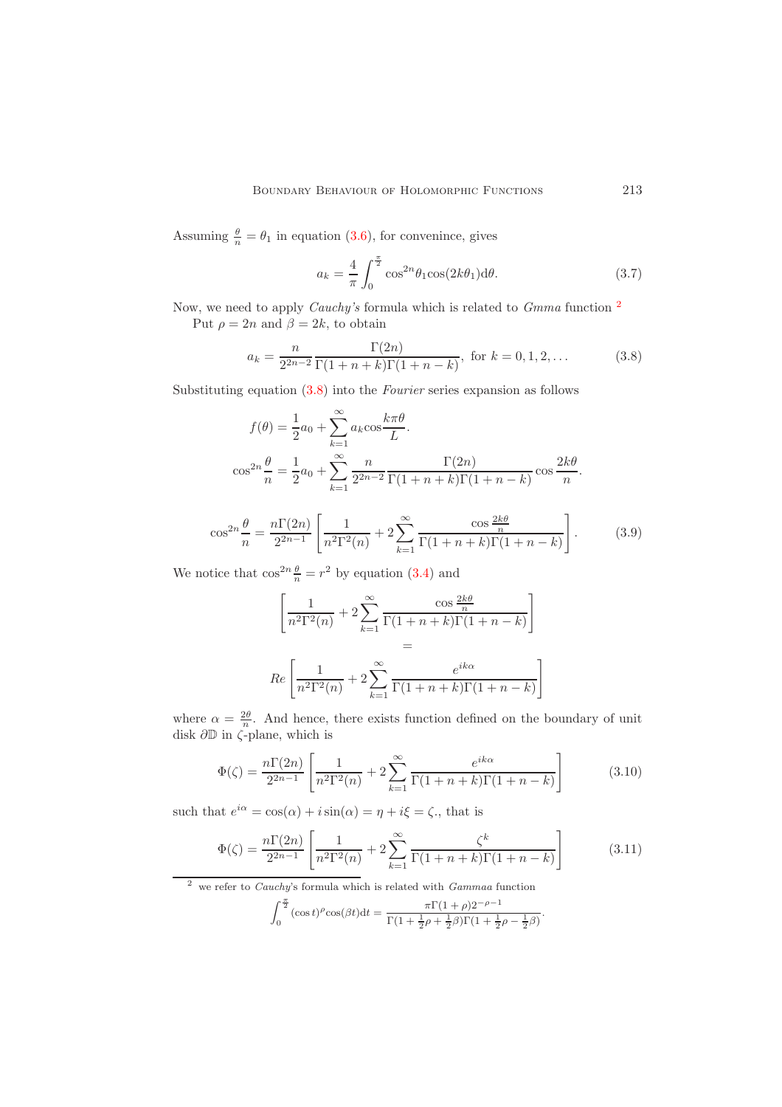Assuming  $\frac{\theta}{n} = \theta_1$  in equation [\(3.6\)](#page-9-2), for convenince, gives

<span id="page-10-1"></span>
$$
a_k = \frac{4}{\pi} \int_0^{\frac{\pi}{2}} \cos^{2n} \theta_1 \cos(2k\theta_1) d\theta.
$$
 (3.7)

Now, we need to apply *Cauchy's* formula which is related to *Gmma* function [2](#page-10-0) Put  $\rho = 2n$  and  $\beta = 2k$ , to obtain

$$
a_k = \frac{n}{2^{2n-2}} \frac{\Gamma(2n)}{\Gamma(1+n+k)\Gamma(1+n-k)}, \text{ for } k = 0, 1, 2, ... \tag{3.8}
$$

Substituting equation [\(3.8\)](#page-10-1) into the *Fourier* series expansion as follows

$$
f(\theta) = \frac{1}{2}a_0 + \sum_{k=1}^{\infty} a_k \cos \frac{k\pi \theta}{L}.
$$

$$
\cos^{2n} \frac{\theta}{n} = \frac{1}{2}a_0 + \sum_{k=1}^{\infty} \frac{n}{2^{2n-2}} \frac{\Gamma(2n)}{\Gamma(1+n+k)\Gamma(1+n-k)} \cos \frac{2k\theta}{n}.
$$

$$
\cos^{2n}\frac{\theta}{n} = \frac{n\Gamma(2n)}{2^{2n-1}} \left[ \frac{1}{n^2\Gamma^2(n)} + 2\sum_{k=1}^{\infty} \frac{\cos\frac{2k\theta}{n}}{\Gamma(1+n+k)\Gamma(1+n-k)} \right].
$$
 (3.9)

We notice that  $\cos^{2n} \frac{\theta}{n} = r^2$  by equation [\(3.4\)](#page-9-3) and

$$
\left[\frac{1}{n^2\Gamma^2(n)} + 2\sum_{k=1}^{\infty} \frac{\cos\frac{2k\theta}{n}}{\Gamma(1+n+k)\Gamma(1+n-k)}\right]
$$

$$
=
$$

$$
Re\left[\frac{1}{n^2\Gamma^2(n)} + 2\sum_{k=1}^{\infty} \frac{e^{ik\alpha}}{\Gamma(1+n+k)\Gamma(1+n-k)}\right]
$$

where  $\alpha = \frac{2\theta}{n}$ . And hence, there exists function defined on the boundary of unit disk  $\partial \mathbb{D}$  in  $\zeta$ -plane, which is

$$
\Phi(\zeta) = \frac{n\Gamma(2n)}{2^{2n-1}} \left[ \frac{1}{n^2 \Gamma^2(n)} + 2 \sum_{k=1}^{\infty} \frac{e^{ik\alpha}}{\Gamma(1+n+k)\Gamma(1+n-k)} \right]
$$
(3.10)

such that  $e^{i\alpha} = \cos(\alpha) + i\sin(\alpha) = \eta + i\xi = \zeta$ , that is

$$
\Phi(\zeta) = \frac{n\Gamma(2n)}{2^{2n-1}} \left[ \frac{1}{n^2 \Gamma^2(n)} + 2 \sum_{k=1}^{\infty} \frac{\zeta^k}{\Gamma(1+n+k)\Gamma(1+n-k)} \right]
$$
(3.11)

<span id="page-10-0"></span> $\frac{2}{3}$  we refer to *Cauchy*'s formula which is related with *Gammaa* function

$$
\int_0^{\frac{\pi}{2}} (\cos t)^{\rho} \cos(\beta t) dt = \frac{\pi \Gamma(1+\rho) 2^{-\rho-1}}{\Gamma(1+\frac{1}{2}\rho+\frac{1}{2}\beta)\Gamma(1+\frac{1}{2}\rho-\frac{1}{2}\beta)}.
$$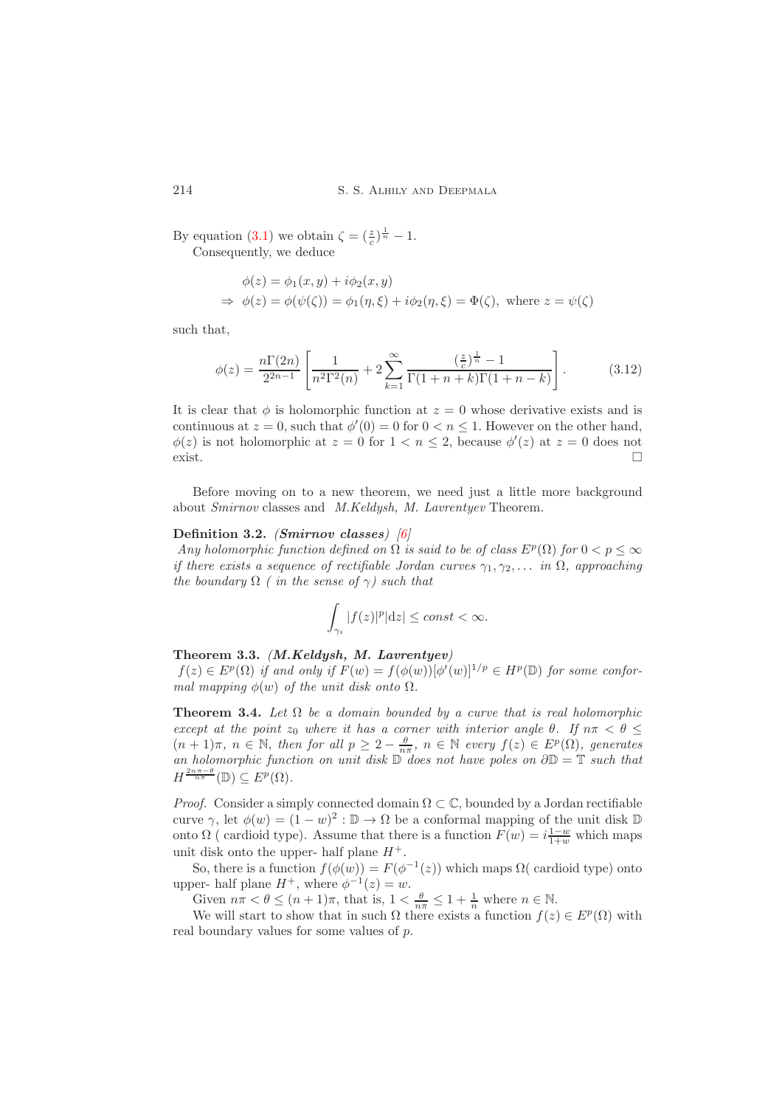By equation [\(3.1\)](#page-8-4) we obtain  $\zeta = \left(\frac{z}{c}\right)^{\frac{1}{n}} - 1$ . Consequently, we deduce

$$
\begin{aligned}\n\phi(z) &= \phi_1(x, y) + i\phi_2(x, y) \\
\Rightarrow \phi(z) &= \phi(\psi(\zeta)) = \phi_1(\eta, \xi) + i\phi_2(\eta, \xi) = \Phi(\zeta), \text{ where } z = \psi(\zeta)\n\end{aligned}
$$

such that,

$$
\phi(z) = \frac{n\Gamma(2n)}{2^{2n-1}} \left[ \frac{1}{n^2\Gamma^2(n)} + 2 \sum_{k=1}^{\infty} \frac{\left(\frac{z}{c}\right)^{\frac{1}{n}} - 1}{\Gamma(1+n+k)\Gamma(1+n-k)} \right].
$$
 (3.12)

It is clear that  $\phi$  is holomorphic function at  $z = 0$  whose derivative exists and is continuous at  $z = 0$ , such that  $\phi'(0) = 0$  for  $0 < n \leq 1$ . However on the other hand,  $\phi(z)$  is not holomorphic at  $z = 0$  for  $1 < n \leq 2$ , because  $\phi'(z)$  at  $z = 0$  does not  $\Box$ 

Before moving on to a new theorem, we need just a little more background about *Smirnov* classes and *M.Keldysh, M. Lavrentyev* Theorem.

### Definition 3.2. *(*Smirnov classes*) [\[6\]](#page-14-1)*

*Any holomorphic function defined on*  $\Omega$  *is said to be of class*  $E^p(\Omega)$  *for*  $0 < p \leq \infty$ *if there exists a sequence of rectifiable Jordan curves*  $\gamma_1, \gamma_2, \ldots$  *in*  $\Omega$ *, approaching the boundary*  $\Omega$  *( in the sense of*  $\gamma$ *) such that* 

$$
\int_{\gamma_i} |f(z)|^p |\mathrm{d}z| \le \text{const} < \infty.
$$

### <span id="page-11-1"></span>Theorem 3.3. *(*M.Keldysh, M. Lavrentyev*)*

 $f(z) \in E^p(\Omega)$  *if and only if*  $F(w) = f(\phi(w))[\phi'(w)]^{1/p} \in H^p(\mathbb{D})$  *for some conformal mapping*  $\phi(w)$  *of the unit disk onto*  $\Omega$ *.* 

<span id="page-11-0"></span>**Theorem 3.4.** Let  $\Omega$  be a domain bounded by a curve that is real holomorphic *except at the point*  $z_0$  *where it has a corner with interior angle*  $\theta$ *. If*  $n\pi < \theta \leq$  $(n+1)\pi$ ,  $n \in \mathbb{N}$ , then for all  $p \geq 2 - \frac{\theta}{n\pi}$ ,  $n \in \mathbb{N}$  every  $f(z) \in E^p(\Omega)$ , generates *an holomorphic function on unit disk* D *does not have poles on* ∂D = T *such that*  $H^{\frac{2n\pi-\theta}{n\pi}}(\mathbb{D}) \subseteq E^p(\Omega).$ 

*Proof.* Consider a simply connected domain  $\Omega \subset \mathbb{C}$ , bounded by a Jordan rectifiable curve  $\gamma$ , let  $\phi(w) = (1 - w)^2 : \mathbb{D} \to \Omega$  be a conformal mapping of the unit disk  $\mathbb{D}$ onto  $\Omega$  ( cardioid type). Assume that there is a function  $F(w) = i \frac{1-w}{1+w}$  which maps unit disk onto the upper- half plane  $H^+$ .

So, there is a function  $f(\phi(w)) = F(\phi^{-1}(z))$  which maps  $\Omega$  (cardioid type) onto upper- half plane  $H^+$ , where  $\phi^{-1}(z) = w$ .

Given  $n\pi < \theta \leq (n+1)\pi$ , that is,  $1 < \frac{\theta}{n\pi} \leq 1 + \frac{1}{n}$  where  $n \in \mathbb{N}$ .

We will start to show that in such  $\Omega$  there exists a function  $f(z) \in E^p(\Omega)$  with real boundary values for some values of p.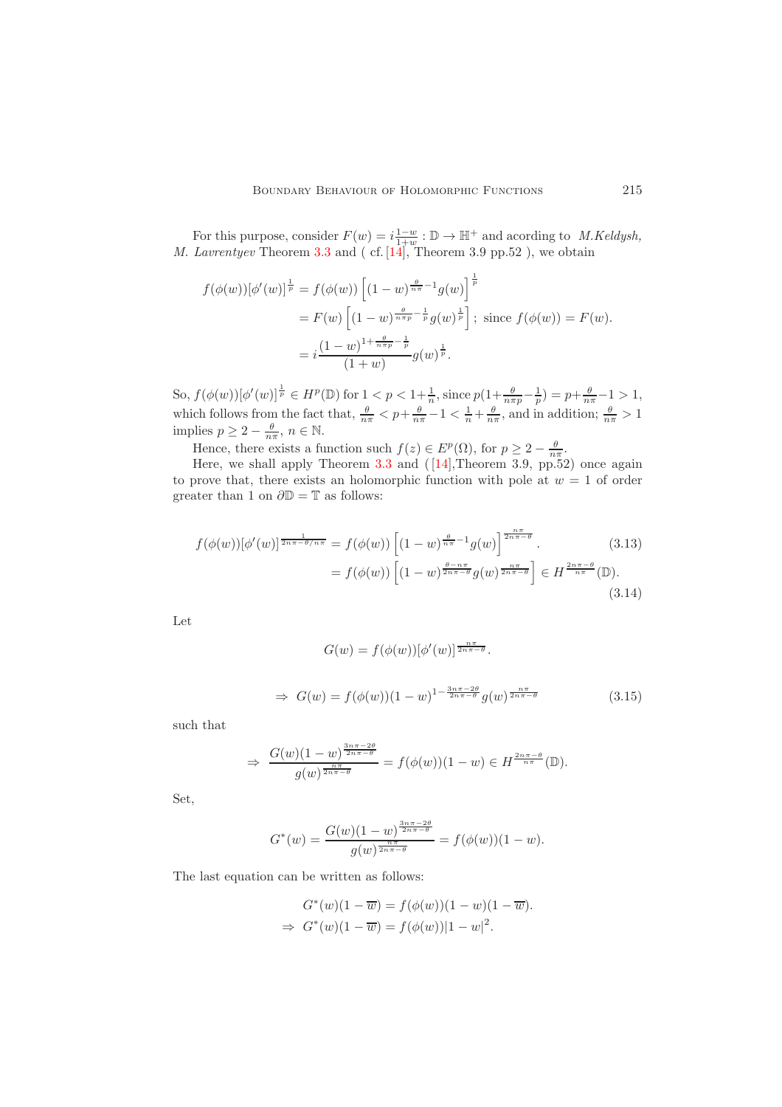For this purpose, consider  $F(w) = i \frac{1-w}{1+w} : \mathbb{D} \to \mathbb{H}^+$  and acording to *M.Keldysh, M. Lavrentyev* Theorem [3.3](#page-11-1) and ( cf. [\[14\]](#page-14-16), Theorem 3.9 pp.52 ), we obtain

$$
f(\phi(w))[\phi'(w)]^{\frac{1}{p}} = f(\phi(w)) \left[ (1-w)^{\frac{\theta}{n\pi}} - 1} g(w) \right]^{\frac{1}{p}}
$$
  
=  $F(w) \left[ (1-w)^{\frac{\theta}{n\pi p} - \frac{1}{p}} g(w)^{\frac{1}{p}} \right];$  since  $f(\phi(w)) = F(w)$ .  
=  $i \frac{(1-w)^{1+\frac{\theta}{n\pi p} - \frac{1}{p}}}{(1+w)} g(w)^{\frac{1}{p}}.$ 

So,  $f(\phi(w))[\phi'(w)]^{\frac{1}{p}} \in H^p(\mathbb{D})$  for  $1 < p < 1 + \frac{1}{n}$ , since  $p(1 + \frac{\theta}{n\pi p} - \frac{1}{p}) = p + \frac{\theta}{n\pi} - 1 > 1$ , which follows from the fact that,  $\frac{\theta}{n\pi} < p + \frac{\theta}{n\pi} - 1 < \frac{1}{n} + \frac{\theta}{n\pi}$ , and in addition;  $\frac{\theta}{n\pi} > 1$ implies  $p \ge 2 - \frac{\theta}{n\pi}, n \in \mathbb{N}$ .

Hence, there exists a function such  $f(z) \in E^p(\Omega)$ , for  $p \geq 2 - \frac{\theta}{n\pi}$ .

Here, we shall apply Theorem [3.3](#page-11-1) and  $([14],$ Theorem 3.9, pp.52) once again to prove that, there exists an holomorphic function with pole at  $w = 1$  of order greater than 1 on  $\partial \mathbb{D} = \mathbb{T}$  as follows:

$$
f(\phi(w))[\phi'(w)]^{\frac{1}{2n\pi-\theta/n\pi}} = f(\phi(w))\left[(1-w)^{\frac{\theta}{n\pi}-1}g(w)\right]^{\frac{n\pi}{2n\pi-\theta}}.
$$
(3.13)  

$$
= f(\phi(w))\left[(1-w)^{\frac{\theta-n\pi}{2n\pi-\theta}}g(w)^{\frac{n\pi}{2n\pi-\theta}}\right] \in H^{\frac{2n\pi-\theta}{n\pi}}(\mathbb{D}).
$$
(3.14)

Let

$$
G(w) = f(\phi(w))[\phi'(w)]^{\frac{n\pi}{2n\pi-\theta}}.
$$
  
\n
$$
\Rightarrow G(w) = f(\phi(w))(1-w)^{1-\frac{3n\pi-2\theta}{2n\pi-\theta}}g(w)^{\frac{n\pi}{2n\pi-\theta}}
$$
(3.15)

such that

$$
\Rightarrow \frac{G(w)(1-w)^{\frac{3n\pi-2\theta}{2n\pi-\theta}}}{g(w)^{\frac{n\pi}{2n\pi-\theta}}} = f(\phi(w))(1-w) \in H^{\frac{2n\pi-\theta}{n\pi}}(\mathbb{D}).
$$

Set,

$$
G^*(w) = \frac{G(w)(1-w)^{\frac{3n\pi - 2\theta}{2n\pi - \theta}}}{g(w)^{\frac{n\pi}{2n\pi - \theta}}} = f(\phi(w))(1-w).
$$

The last equation can be written as follows:

$$
G^*(w)(1 - \overline{w}) = f(\phi(w))(1 - w)(1 - \overline{w}).
$$
  
\n
$$
\Rightarrow G^*(w)(1 - \overline{w}) = f(\phi(w))|1 - w|^2.
$$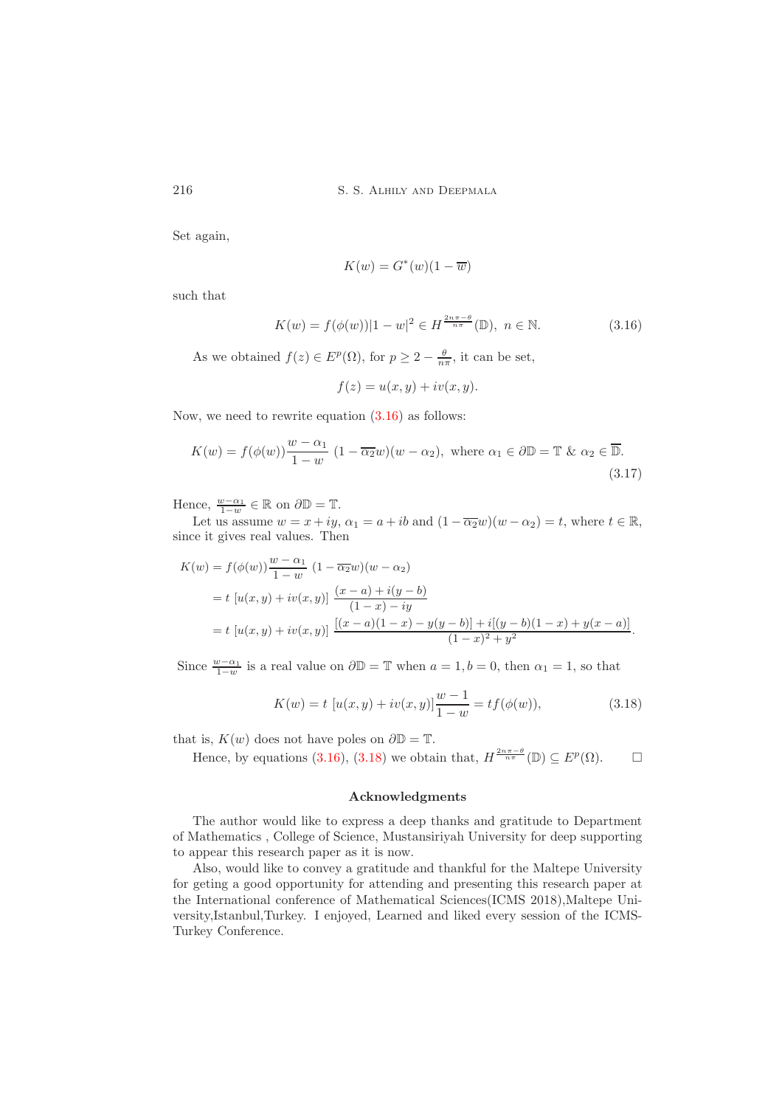Set again,

<span id="page-13-0"></span>
$$
K(w) = G^*(w)(1 - \overline{w})
$$

such that

$$
K(w) = f(\phi(w))|1 - w|^2 \in H^{\frac{2n\pi - \theta}{n\pi}}(\mathbb{D}), \ n \in \mathbb{N}.
$$
 (3.16)

As we obtained  $f(z) \in E^p(\Omega)$ , for  $p \geq 2 - \frac{\theta}{n\pi}$ , it can be set,

$$
f(z) = u(x, y) + iv(x, y).
$$

Now, we need to rewrite equation  $(3.16)$  as follows:

$$
K(w) = f(\phi(w)) \frac{w - \alpha_1}{1 - w} (1 - \overline{\alpha_2} w)(w - \alpha_2), \text{ where } \alpha_1 \in \partial \mathbb{D} = \mathbb{T} \& \alpha_2 \in \overline{\mathbb{D}}.
$$
\n(3.17)

Hence,  $\frac{w-\alpha_1}{1-w} \in \mathbb{R}$  on  $\partial \mathbb{D} = \mathbb{T}$ .

Let us assume  $w = x + iy$ ,  $\alpha_1 = a + ib$  and  $(1 - \overline{\alpha_2}w)(w - \alpha_2) = t$ , where  $t \in \mathbb{R}$ , since it gives real values. Then

$$
K(w) = f(\phi(w)) \frac{w - \alpha_1}{1 - w} (1 - \overline{\alpha_2} w)(w - \alpha_2)
$$
  
=  $t [u(x, y) + iv(x, y)] \frac{(x - a) + i(y - b)}{(1 - x) - iy}$   
=  $t [u(x, y) + iv(x, y)] \frac{[(x - a)(1 - x) - y(y - b)] + i[(y - b)(1 - x) + y(x - a)]}{(1 - x)^2 + y^2}.$ 

Since  $\frac{w-\alpha_1}{1-w}$  is a real value on  $\partial \mathbb{D} = \mathbb{T}$  when  $a = 1, b = 0$ , then  $\alpha_1 = 1$ , so that

$$
K(w) = t [u(x, y) + iv(x, y)] \frac{w - 1}{1 - w} = tf(\phi(w)),
$$
\n(3.18)

that is,  $K(w)$  does not have poles on  $\partial \mathbb{D} = \mathbb{T}$ .

Hence, by equations [\(3.16\)](#page-13-0), [\(3.18\)](#page-13-1) we obtain that,  $H^{\frac{2n\pi-\theta}{n\pi}}(\mathbb{D}) \subseteq E^p(\Omega)$ .  $\Box$ 

### <span id="page-13-1"></span>Acknowledgments

The author would like to express a deep thanks and gratitude to Department of Mathematics , College of Science, Mustansiriyah University for deep supporting to appear this research paper as it is now.

Also, would like to convey a gratitude and thankful for the Maltepe University for geting a good opportunity for attending and presenting this research paper at the International conference of Mathematical Sciences(ICMS 2018),Maltepe University,Istanbul,Turkey. I enjoyed, Learned and liked every session of the ICMS-Turkey Conference.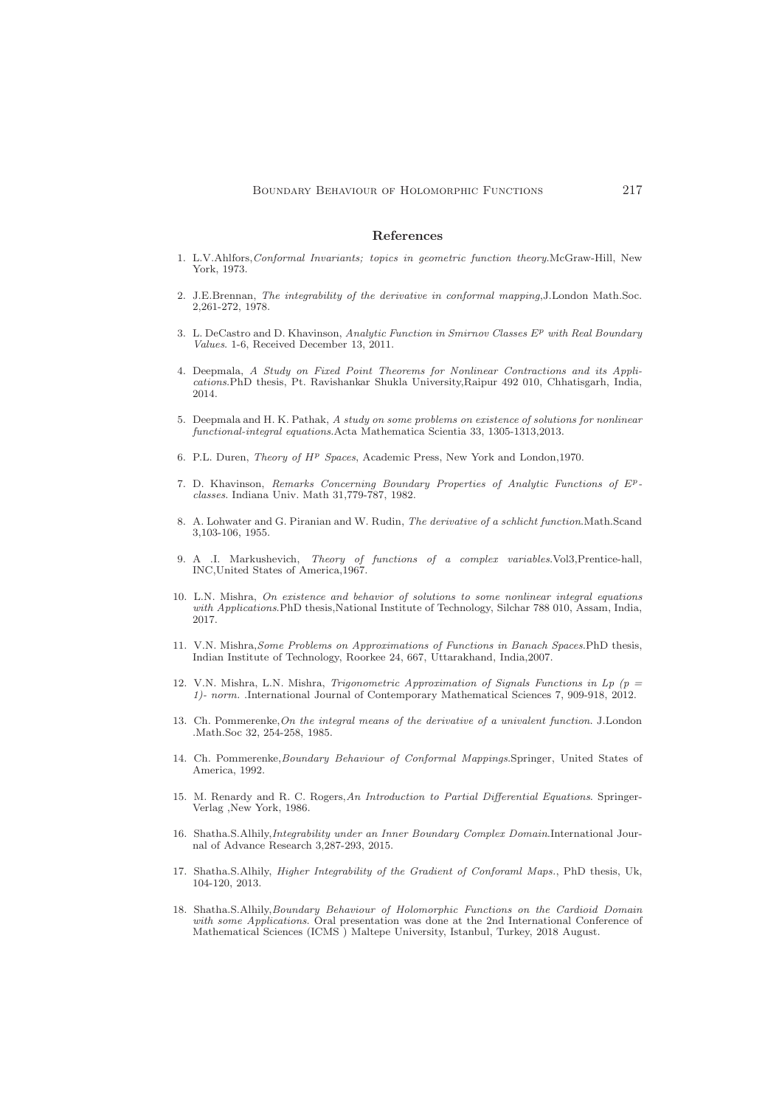#### <span id="page-14-0"></span>References

- <span id="page-14-14"></span>1. L.V.Ahlfors,Conformal Invariants; topics in geometric function theory.McGraw-Hill, New York, 1973.
- <span id="page-14-3"></span>2. J.E.Brennan, The integrability of the derivative in conformal mapping,J.London Math.Soc. 2,261-272, 1978.
- <span id="page-14-8"></span>3. L. DeCastro and D. Khavinson, Analytic Function in Smirnov Classes  $E^p$  with Real Boundary Values. 1-6, Received December 13, 2011.
- <span id="page-14-6"></span>4. Deepmala, A Study on Fixed Point Theorems for Nonlinear Contractions and its Applications.PhD thesis, Pt. Ravishankar Shukla University,Raipur 492 010, Chhatisgarh, India, 2014.
- <span id="page-14-7"></span>5. Deepmala and H. K. Pathak, A study on some problems on existence of solutions for nonlinear functional-integral equations.Acta Mathematica Scientia 33, 1305-1313,2013.
- <span id="page-14-9"></span><span id="page-14-1"></span>6. P.L. Duren, Theory of  $H^p$  Spaces, Academic Press, New York and London, 1970.
- 7. D. Khavinson, Remarks Concerning Boundary Properties of Analytic Functions of Epclasses. Indiana Univ. Math 31,779-787, 1982.
- <span id="page-14-2"></span>8. A. Lohwater and G. Piranian and W. Rudin, The derivative of a schlicht function.Math.Scand 3,103-106, 1955.
- <span id="page-14-15"></span>9. A .I. Markushevich, Theory of functions of a complex variables.Vol3,Prentice-hall, INC,United States of America,1967.
- <span id="page-14-12"></span>10. L.N. Mishra, On existence and behavior of solutions to some nonlinear integral equations with Applications.PhD thesis,National Institute of Technology, Silchar 788 010, Assam, India, 2017.
- <span id="page-14-13"></span>11. V.N. Mishra,Some Problems on Approximations of Functions in Banach Spaces.PhD thesis, Indian Institute of Technology, Roorkee 24, 667, Uttarakhand, India,2007.
- <span id="page-14-5"></span>12. V.N. Mishra, L.N. Mishra, Trigonometric Approximation of Signals Functions in Lp ( $p =$ 1)- norm. .International Journal of Contemporary Mathematical Sciences 7, 909-918, 2012.
- <span id="page-14-4"></span>13. Ch. Pommerenke,On the integral means of the derivative of a univalent function. J.London .Math.Soc 32, 254-258, 1985.
- <span id="page-14-16"></span>14. Ch. Pommerenke,Boundary Behaviour of Conformal Mappings.Springer, United States of America, 1992.
- <span id="page-14-17"></span>15. M. Renardy and R. C. Rogers,An Introduction to Partial Differential Equations. Springer-Verlag ,New York, 1986.
- <span id="page-14-18"></span>16. Shatha.S.Alhily,Integrability under an Inner Boundary Complex Domain.International Journal of Advance Research 3,287-293, 2015.
- <span id="page-14-10"></span>17. Shatha.S.Alhily, Higher Integrability of the Gradient of Conforaml Maps., PhD thesis, Uk, 104-120, 2013.
- <span id="page-14-11"></span>18. Shatha.S.Alhily,Boundary Behaviour of Holomorphic Functions on the Cardioid Domain with some Applications. Oral presentation was done at the 2nd International Conference of Mathematical Sciences (ICMS ) Maltepe University, Istanbul, Turkey, 2018 August.